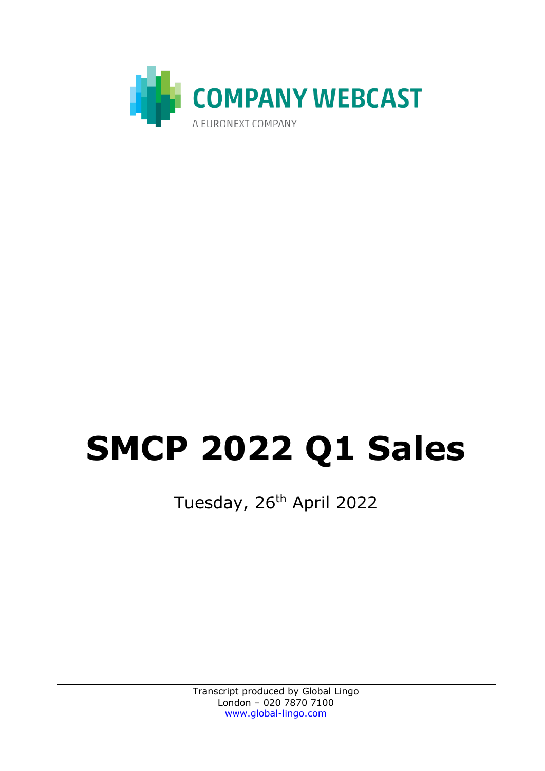

## **SMCP 2022 Q1 Sales**

Tuesday, 26<sup>th</sup> April 2022

Transcript produced by Global Lingo London – 020 7870 7100 [www.global-lingo.com](http://www.global-lingo.com/)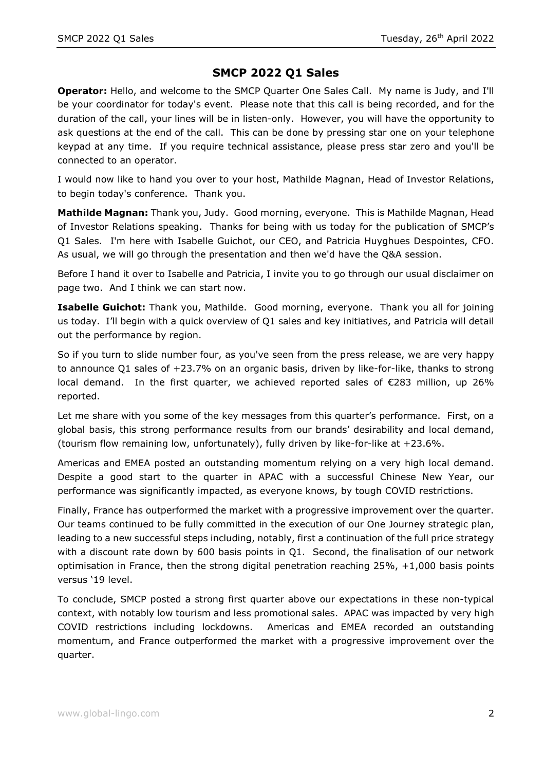## **SMCP 2022 Q1 Sales**

**Operator:** Hello, and welcome to the SMCP Quarter One Sales Call. My name is Judy, and I'll be your coordinator for today's event. Please note that this call is being recorded, and for the duration of the call, your lines will be in listen-only. However, you will have the opportunity to ask questions at the end of the call. This can be done by pressing star one on your telephone keypad at any time. If you require technical assistance, please press star zero and you'll be connected to an operator.

I would now like to hand you over to your host, Mathilde Magnan, Head of Investor Relations, to begin today's conference. Thank you.

**Mathilde Magnan:** Thank you, Judy. Good morning, everyone. This is Mathilde Magnan, Head of Investor Relations speaking. Thanks for being with us today for the publication of SMCP's Q1 Sales. I'm here with Isabelle Guichot, our CEO, and Patricia Huyghues Despointes, CFO. As usual, we will go through the presentation and then we'd have the Q&A session.

Before I hand it over to Isabelle and Patricia, I invite you to go through our usual disclaimer on page two. And I think we can start now.

**Isabelle Guichot:** Thank you, Mathilde. Good morning, everyone. Thank you all for joining us today. I'll begin with a quick overview of Q1 sales and key initiatives, and Patricia will detail out the performance by region.

So if you turn to slide number four, as you've seen from the press release, we are very happy to announce Q1 sales of +23.7% on an organic basis, driven by like-for-like, thanks to strong local demand. In the first quarter, we achieved reported sales of  $\epsilon$ 283 million, up 26% reported.

Let me share with you some of the key messages from this quarter's performance. First, on a global basis, this strong performance results from our brands' desirability and local demand, (tourism flow remaining low, unfortunately), fully driven by like-for-like at +23.6%.

Americas and EMEA posted an outstanding momentum relying on a very high local demand. Despite a good start to the quarter in APAC with a successful Chinese New Year, our performance was significantly impacted, as everyone knows, by tough COVID restrictions.

Finally, France has outperformed the market with a progressive improvement over the quarter. Our teams continued to be fully committed in the execution of our One Journey strategic plan, leading to a new successful steps including, notably, first a continuation of the full price strategy with a discount rate down by 600 basis points in Q1. Second, the finalisation of our network optimisation in France, then the strong digital penetration reaching 25%, +1,000 basis points versus '19 level.

To conclude, SMCP posted a strong first quarter above our expectations in these non-typical context, with notably low tourism and less promotional sales. APAC was impacted by very high COVID restrictions including lockdowns. Americas and EMEA recorded an outstanding momentum, and France outperformed the market with a progressive improvement over the quarter.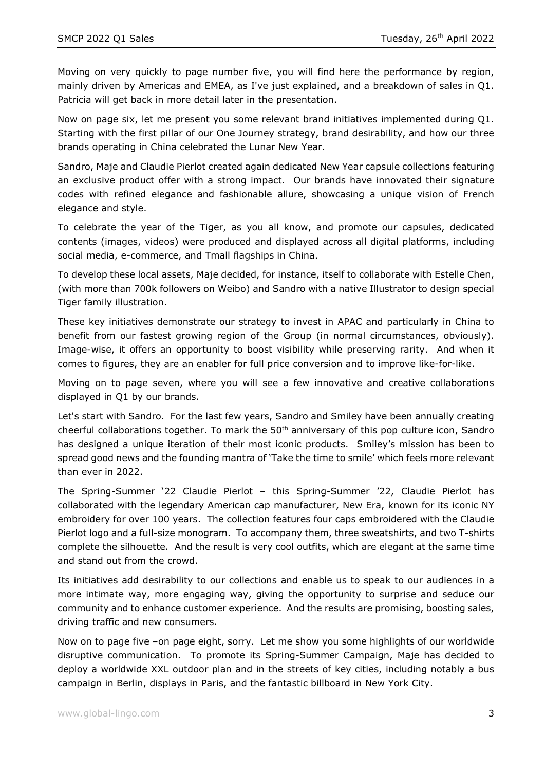Moving on very quickly to page number five, you will find here the performance by region, mainly driven by Americas and EMEA, as I've just explained, and a breakdown of sales in Q1. Patricia will get back in more detail later in the presentation.

Now on page six, let me present you some relevant brand initiatives implemented during Q1. Starting with the first pillar of our One Journey strategy, brand desirability, and how our three brands operating in China celebrated the Lunar New Year.

Sandro, Maje and Claudie Pierlot created again dedicated New Year capsule collections featuring an exclusive product offer with a strong impact. Our brands have innovated their signature codes with refined elegance and fashionable allure, showcasing a unique vision of French elegance and style.

To celebrate the year of the Tiger, as you all know, and promote our capsules, dedicated contents (images, videos) were produced and displayed across all digital platforms, including social media, e-commerce, and Tmall flagships in China.

To develop these local assets, Maje decided, for instance, itself to collaborate with Estelle Chen, (with more than 700k followers on Weibo) and Sandro with a native Illustrator to design special Tiger family illustration.

These key initiatives demonstrate our strategy to invest in APAC and particularly in China to benefit from our fastest growing region of the Group (in normal circumstances, obviously). Image-wise, it offers an opportunity to boost visibility while preserving rarity. And when it comes to figures, they are an enabler for full price conversion and to improve like-for-like.

Moving on to page seven, where you will see a few innovative and creative collaborations displayed in Q1 by our brands.

Let's start with Sandro. For the last few years, Sandro and Smiley have been annually creating cheerful collaborations together. To mark the 50<sup>th</sup> anniversary of this pop culture icon, Sandro has designed a unique iteration of their most iconic products. Smiley's mission has been to spread good news and the founding mantra of 'Take the time to smile' which feels more relevant than ever in 2022.

The Spring-Summer '22 Claudie Pierlot – this Spring-Summer '22, Claudie Pierlot has collaborated with the legendary American cap manufacturer, New Era, known for its iconic NY embroidery for over 100 years. The collection features four caps embroidered with the Claudie Pierlot logo and a full-size monogram. To accompany them, three sweatshirts, and two T-shirts complete the silhouette. And the result is very cool outfits, which are elegant at the same time and stand out from the crowd.

Its initiatives add desirability to our collections and enable us to speak to our audiences in a more intimate way, more engaging way, giving the opportunity to surprise and seduce our community and to enhance customer experience. And the results are promising, boosting sales, driving traffic and new consumers.

Now on to page five –on page eight, sorry. Let me show you some highlights of our worldwide disruptive communication. To promote its Spring-Summer Campaign, Maje has decided to deploy a worldwide XXL outdoor plan and in the streets of key cities, including notably a bus campaign in Berlin, displays in Paris, and the fantastic billboard in New York City.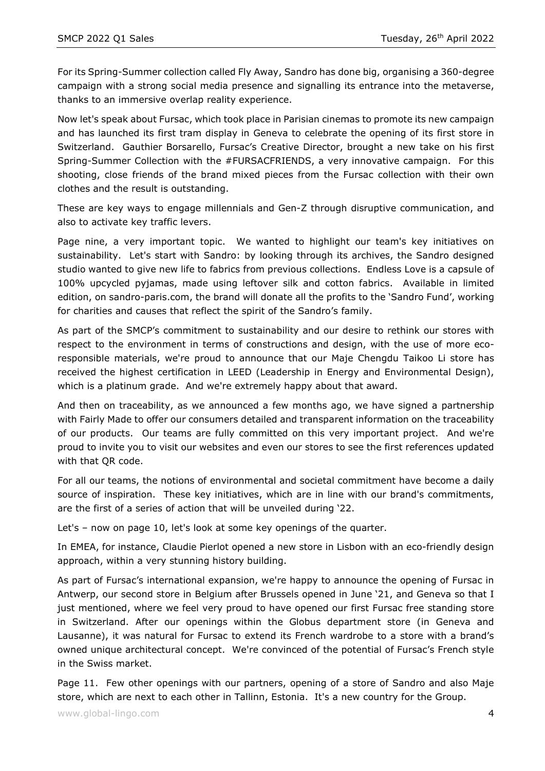For its Spring-Summer collection called Fly Away, Sandro has done big, organising a 360-degree campaign with a strong social media presence and signalling its entrance into the metaverse, thanks to an immersive overlap reality experience.

Now let's speak about Fursac, which took place in Parisian cinemas to promote its new campaign and has launched its first tram display in Geneva to celebrate the opening of its first store in Switzerland. Gauthier Borsarello, Fursac's Creative Director, brought a new take on his first Spring-Summer Collection with the #FURSACFRIENDS, a very innovative campaign. For this shooting, close friends of the brand mixed pieces from the Fursac collection with their own clothes and the result is outstanding.

These are key ways to engage millennials and Gen-Z through disruptive communication, and also to activate key traffic levers.

Page nine, a very important topic. We wanted to highlight our team's key initiatives on sustainability. Let's start with Sandro: by looking through its archives, the Sandro designed studio wanted to give new life to fabrics from previous collections. Endless Love is a capsule of 100% upcycled pyjamas, made using leftover silk and cotton fabrics. Available in limited edition, on sandro-paris.com, the brand will donate all the profits to the 'Sandro Fund', working for charities and causes that reflect the spirit of the Sandro's family.

As part of the SMCP's commitment to sustainability and our desire to rethink our stores with respect to the environment in terms of constructions and design, with the use of more ecoresponsible materials, we're proud to announce that our Maje Chengdu Taikoo Li store has received the highest certification in LEED (Leadership in Energy and Environmental Design), which is a platinum grade. And we're extremely happy about that award.

And then on traceability, as we announced a few months ago, we have signed a partnership with Fairly Made to offer our consumers detailed and transparent information on the traceability of our products. Our teams are fully committed on this very important project. And we're proud to invite you to visit our websites and even our stores to see the first references updated with that QR code.

For all our teams, the notions of environmental and societal commitment have become a daily source of inspiration. These key initiatives, which are in line with our brand's commitments, are the first of a series of action that will be unveiled during '22.

Let's – now on page 10, let's look at some key openings of the quarter.

In EMEA, for instance, Claudie Pierlot opened a new store in Lisbon with an eco-friendly design approach, within a very stunning history building.

As part of Fursac's international expansion, we're happy to announce the opening of Fursac in Antwerp, our second store in Belgium after Brussels opened in June '21, and Geneva so that I just mentioned, where we feel very proud to have opened our first Fursac free standing store in Switzerland. After our openings within the Globus department store (in Geneva and Lausanne), it was natural for Fursac to extend its French wardrobe to a store with a brand's owned unique architectural concept. We're convinced of the potential of Fursac's French style in the Swiss market.

Page 11. Few other openings with our partners, opening of a store of Sandro and also Maje store, which are next to each other in Tallinn, Estonia. It's a new country for the Group.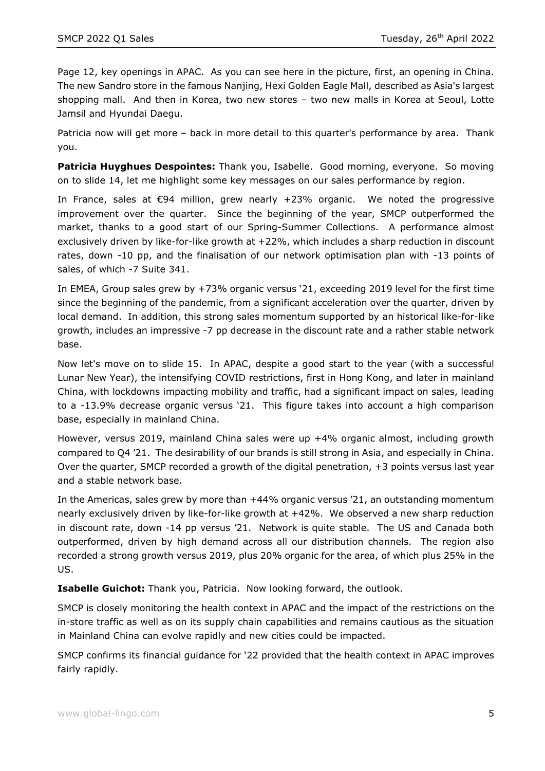Page 12, key openings in APAC. As you can see here in the picture, first, an opening in China. The new Sandro store in the famous Nanjing, Hexi Golden Eagle Mall, described as Asia's largest shopping mall. And then in Korea, two new stores – two new malls in Korea at Seoul, Lotte Jamsil and Hyundai Daegu.

Patricia now will get more – back in more detail to this quarter's performance by area. Thank you.

**Patricia Huyghues Despointes:** Thank you, Isabelle. Good morning, everyone. So moving on to slide 14, let me highlight some key messages on our sales performance by region.

In France, sales at  $\epsilon$ 94 million, grew nearly +23% organic. We noted the progressive improvement over the quarter. Since the beginning of the year, SMCP outperformed the market, thanks to a good start of our Spring-Summer Collections. A performance almost exclusively driven by like-for-like growth at +22%, which includes a sharp reduction in discount rates, down -10 pp, and the finalisation of our network optimisation plan with -13 points of sales, of which -7 Suite 341.

In EMEA, Group sales grew by +73% organic versus '21, exceeding 2019 level for the first time since the beginning of the pandemic, from a significant acceleration over the quarter, driven by local demand. In addition, this strong sales momentum supported by an historical like-for-like growth, includes an impressive -7 pp decrease in the discount rate and a rather stable network base.

Now let's move on to slide 15. In APAC, despite a good start to the year (with a successful Lunar New Year), the intensifying COVID restrictions, first in Hong Kong, and later in mainland China, with lockdowns impacting mobility and traffic, had a significant impact on sales, leading to a -13.9% decrease organic versus '21. This figure takes into account a high comparison base, especially in mainland China.

However, versus 2019, mainland China sales were up +4% organic almost, including growth compared to Q4 '21. The desirability of our brands is still strong in Asia, and especially in China. Over the quarter, SMCP recorded a growth of the digital penetration, +3 points versus last year and a stable network base.

In the Americas, sales grew by more than +44% organic versus '21, an outstanding momentum nearly exclusively driven by like-for-like growth at +42%. We observed a new sharp reduction in discount rate, down -14 pp versus '21. Network is quite stable. The US and Canada both outperformed, driven by high demand across all our distribution channels. The region also recorded a strong growth versus 2019, plus 20% organic for the area, of which plus 25% in the US.

**Isabelle Guichot:** Thank you, Patricia. Now looking forward, the outlook.

SMCP is closely monitoring the health context in APAC and the impact of the restrictions on the in-store traffic as well as on its supply chain capabilities and remains cautious as the situation in Mainland China can evolve rapidly and new cities could be impacted.

SMCP confirms its financial guidance for '22 provided that the health context in APAC improves fairly rapidly.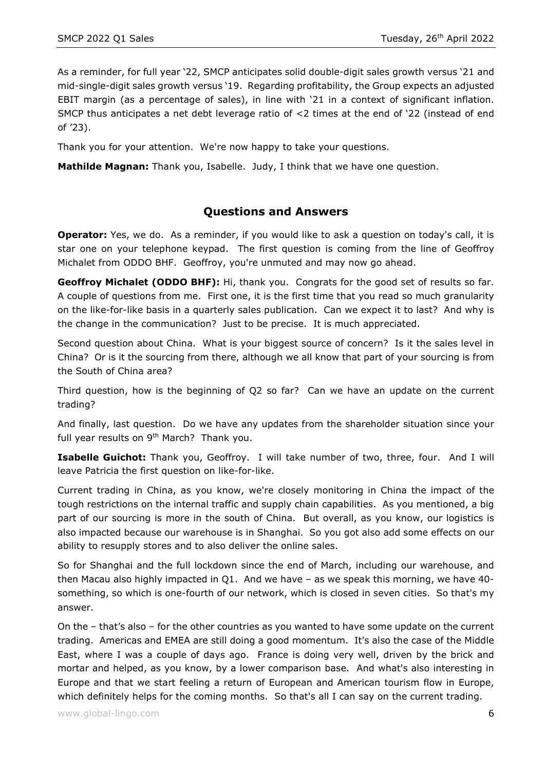As a reminder, for full year '22, SMCP anticipates solid double-digit sales growth versus '21 and mid-single-digit sales growth versus '19. Regarding profitability, the Group expects an adjusted EBIT margin (as a percentage of sales), in line with '21 in a context of significant inflation. SMCP thus anticipates a net debt leverage ratio of <2 times at the end of '22 (instead of end of '23).

Thank you for your attention. We're now happy to take your questions.

**Mathilde Magnan:** Thank you, Isabelle. Judy, I think that we have one question.

## **Questions and Answers**

**Operator:** Yes, we do. As a reminder, if you would like to ask a question on today's call, it is star one on your telephone keypad. The first question is coming from the line of Geoffroy Michalet from ODDO BHF. Geoffroy, you're unmuted and may now go ahead.

**Geoffroy Michalet (ODDO BHF):** Hi, thank you. Congrats for the good set of results so far. A couple of questions from me. First one, it is the first time that you read so much granularity on the like-for-like basis in a quarterly sales publication. Can we expect it to last? And why is the change in the communication? Just to be precise. It is much appreciated.

Second question about China. What is your biggest source of concern? Is it the sales level in China? Or is it the sourcing from there, although we all know that part of your sourcing is from the South of China area?

Third question, how is the beginning of Q2 so far? Can we have an update on the current trading?

And finally, last question. Do we have any updates from the shareholder situation since your full year results on 9<sup>th</sup> March? Thank you.

**Isabelle Guichot:** Thank you, Geoffroy. I will take number of two, three, four. And I will leave Patricia the first question on like-for-like.

Current trading in China, as you know, we're closely monitoring in China the impact of the tough restrictions on the internal traffic and supply chain capabilities. As you mentioned, a big part of our sourcing is more in the south of China. But overall, as you know, our logistics is also impacted because our warehouse is in Shanghai. So you got also add some effects on our ability to resupply stores and to also deliver the online sales.

So for Shanghai and the full lockdown since the end of March, including our warehouse, and then Macau also highly impacted in Q1. And we have – as we speak this morning, we have 40 something, so which is one-fourth of our network, which is closed in seven cities. So that's my answer.

On the – that's also – for the other countries as you wanted to have some update on the current trading. Americas and EMEA are still doing a good momentum. It's also the case of the Middle East, where I was a couple of days ago. France is doing very well, driven by the brick and mortar and helped, as you know, by a lower comparison base. And what's also interesting in Europe and that we start feeling a return of European and American tourism flow in Europe, which definitely helps for the coming months. So that's all I can say on the current trading.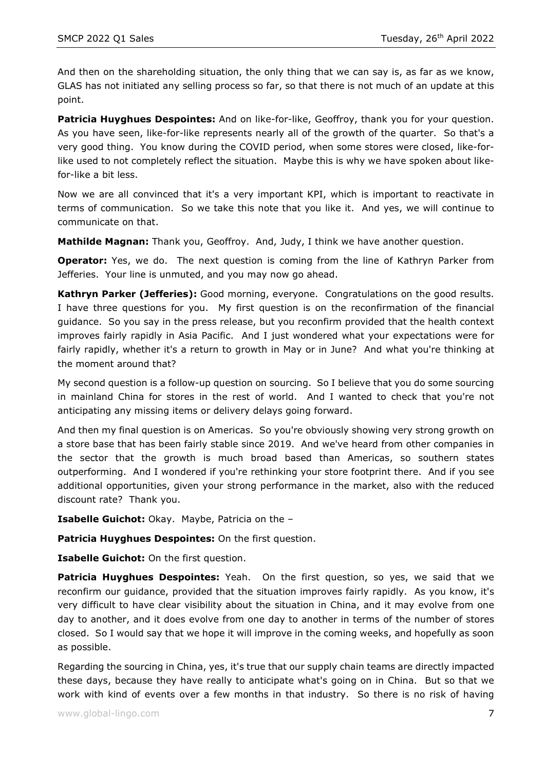And then on the shareholding situation, the only thing that we can say is, as far as we know, GLAS has not initiated any selling process so far, so that there is not much of an update at this point.

**Patricia Huyghues Despointes:** And on like-for-like, Geoffroy, thank you for your question. As you have seen, like-for-like represents nearly all of the growth of the quarter. So that's a very good thing. You know during the COVID period, when some stores were closed, like-forlike used to not completely reflect the situation. Maybe this is why we have spoken about likefor-like a bit less.

Now we are all convinced that it's a very important KPI, which is important to reactivate in terms of communication. So we take this note that you like it. And yes, we will continue to communicate on that.

**Mathilde Magnan:** Thank you, Geoffroy. And, Judy, I think we have another question.

**Operator:** Yes, we do. The next question is coming from the line of Kathryn Parker from Jefferies. Your line is unmuted, and you may now go ahead.

**Kathryn Parker (Jefferies):** Good morning, everyone. Congratulations on the good results. I have three questions for you. My first question is on the reconfirmation of the financial guidance. So you say in the press release, but you reconfirm provided that the health context improves fairly rapidly in Asia Pacific. And I just wondered what your expectations were for fairly rapidly, whether it's a return to growth in May or in June? And what you're thinking at the moment around that?

My second question is a follow-up question on sourcing. So I believe that you do some sourcing in mainland China for stores in the rest of world. And I wanted to check that you're not anticipating any missing items or delivery delays going forward.

And then my final question is on Americas. So you're obviously showing very strong growth on a store base that has been fairly stable since 2019. And we've heard from other companies in the sector that the growth is much broad based than Americas, so southern states outperforming. And I wondered if you're rethinking your store footprint there. And if you see additional opportunities, given your strong performance in the market, also with the reduced discount rate? Thank you.

**Isabelle Guichot:** Okay. Maybe, Patricia on the –

**Patricia Huyghues Despointes:** On the first question.

**Isabelle Guichot:** On the first question.

**Patricia Huyghues Despointes:** Yeah. On the first question, so yes, we said that we reconfirm our guidance, provided that the situation improves fairly rapidly. As you know, it's very difficult to have clear visibility about the situation in China, and it may evolve from one day to another, and it does evolve from one day to another in terms of the number of stores closed. So I would say that we hope it will improve in the coming weeks, and hopefully as soon as possible.

Regarding the sourcing in China, yes, it's true that our supply chain teams are directly impacted these days, because they have really to anticipate what's going on in China. But so that we work with kind of events over a few months in that industry. So there is no risk of having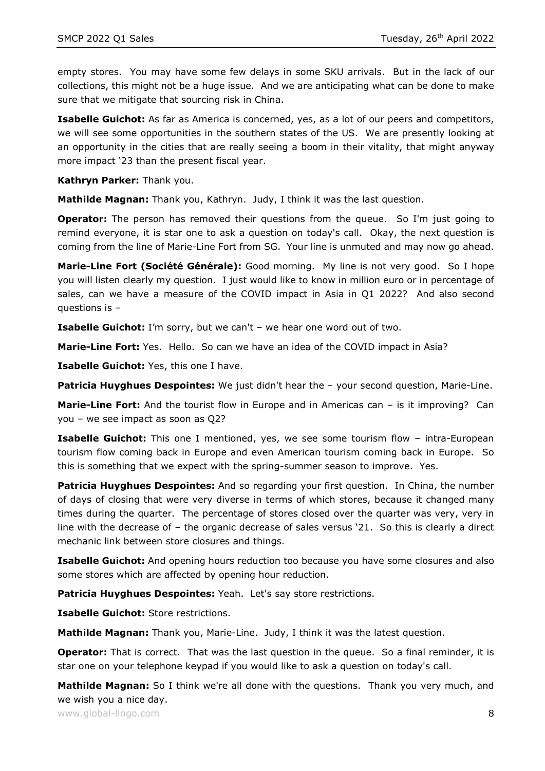empty stores. You may have some few delays in some SKU arrivals. But in the lack of our collections, this might not be a huge issue. And we are anticipating what can be done to make sure that we mitigate that sourcing risk in China.

**Isabelle Guichot:** As far as America is concerned, yes, as a lot of our peers and competitors, we will see some opportunities in the southern states of the US. We are presently looking at an opportunity in the cities that are really seeing a boom in their vitality, that might anyway more impact '23 than the present fiscal year.

**Kathryn Parker:** Thank you.

**Mathilde Magnan:** Thank you, Kathryn. Judy, I think it was the last question.

**Operator:** The person has removed their questions from the queue. So I'm just going to remind everyone, it is star one to ask a question on today's call. Okay, the next question is coming from the line of Marie-Line Fort from SG. Your line is unmuted and may now go ahead.

**Marie-Line Fort (Société Générale):** Good morning. My line is not very good. So I hope you will listen clearly my question. I just would like to know in million euro or in percentage of sales, can we have a measure of the COVID impact in Asia in Q1 2022? And also second questions is –

**Isabelle Guichot:** I'm sorry, but we can't – we hear one word out of two.

**Marie-Line Fort:** Yes. Hello. So can we have an idea of the COVID impact in Asia?

**Isabelle Guichot:** Yes, this one I have.

**Patricia Huyghues Despointes:** We just didn't hear the – your second question, Marie-Line.

**Marie-Line Fort:** And the tourist flow in Europe and in Americas can - is it improving? Can you – we see impact as soon as Q2?

**Isabelle Guichot:** This one I mentioned, yes, we see some tourism flow - intra-European tourism flow coming back in Europe and even American tourism coming back in Europe. So this is something that we expect with the spring-summer season to improve. Yes.

**Patricia Huyghues Despointes:** And so regarding your first question. In China, the number of days of closing that were very diverse in terms of which stores, because it changed many times during the quarter. The percentage of stores closed over the quarter was very, very in line with the decrease of – the organic decrease of sales versus '21. So this is clearly a direct mechanic link between store closures and things.

**Isabelle Guichot:** And opening hours reduction too because you have some closures and also some stores which are affected by opening hour reduction.

**Patricia Huyghues Despointes:** Yeah. Let's say store restrictions.

**Isabelle Guichot:** Store restrictions.

**Mathilde Magnan:** Thank you, Marie-Line. Judy, I think it was the latest question.

**Operator:** That is correct. That was the last question in the queue. So a final reminder, it is star one on your telephone keypad if you would like to ask a question on today's call.

**Mathilde Magnan:** So I think we're all done with the questions. Thank you very much, and we wish you a nice day.

www.global-lingo.com  $\begin{array}{c} 8 \end{array}$